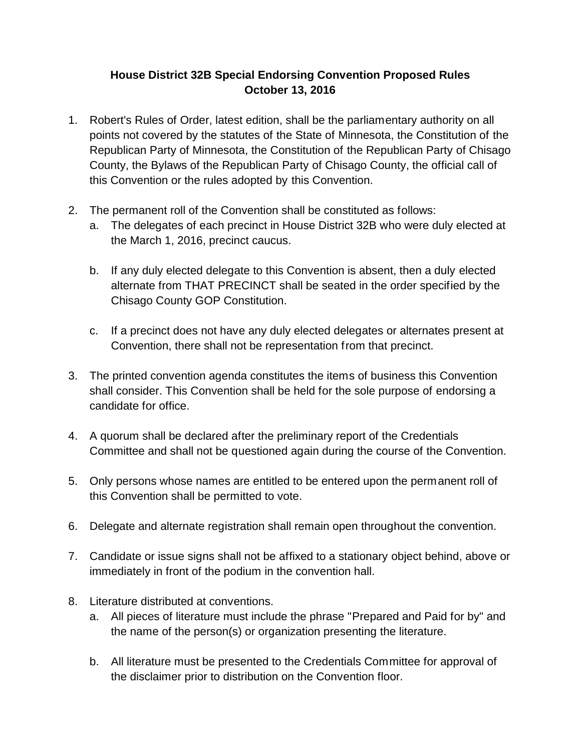## **House District 32B Special Endorsing Convention Proposed Rules October 13, 2016**

- 1. Robert's Rules of Order, latest edition, shall be the parliamentary authority on all points not covered by the statutes of the State of Minnesota, the Constitution of the Republican Party of Minnesota, the Constitution of the Republican Party of Chisago County, the Bylaws of the Republican Party of Chisago County, the official call of this Convention or the rules adopted by this Convention.
- 2. The permanent roll of the Convention shall be constituted as follows:
	- a. The delegates of each precinct in House District 32B who were duly elected at the March 1, 2016, precinct caucus.
	- b. If any duly elected delegate to this Convention is absent, then a duly elected alternate from THAT PRECINCT shall be seated in the order specified by the Chisago County GOP Constitution.
	- c. If a precinct does not have any duly elected delegates or alternates present at Convention, there shall not be representation from that precinct.
- 3. The printed convention agenda constitutes the items of business this Convention shall consider. This Convention shall be held for the sole purpose of endorsing a candidate for office.
- 4. A quorum shall be declared after the preliminary report of the Credentials Committee and shall not be questioned again during the course of the Convention.
- 5. Only persons whose names are entitled to be entered upon the permanent roll of this Convention shall be permitted to vote.
- 6. Delegate and alternate registration shall remain open throughout the convention.
- 7. Candidate or issue signs shall not be affixed to a stationary object behind, above or immediately in front of the podium in the convention hall.
- 8. Literature distributed at conventions.
	- a. All pieces of literature must include the phrase "Prepared and Paid for by" and the name of the person(s) or organization presenting the literature.
	- b. All literature must be presented to the Credentials Committee for approval of the disclaimer prior to distribution on the Convention floor.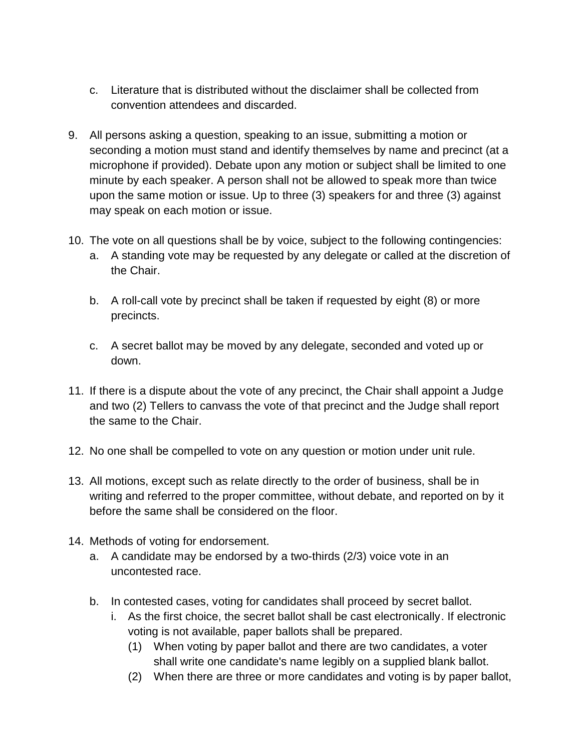- c. Literature that is distributed without the disclaimer shall be collected from convention attendees and discarded.
- 9. All persons asking a question, speaking to an issue, submitting a motion or seconding a motion must stand and identify themselves by name and precinct (at a microphone if provided). Debate upon any motion or subject shall be limited to one minute by each speaker. A person shall not be allowed to speak more than twice upon the same motion or issue. Up to three (3) speakers for and three (3) against may speak on each motion or issue.
- 10. The vote on all questions shall be by voice, subject to the following contingencies:
	- a. A standing vote may be requested by any delegate or called at the discretion of the Chair.
	- b. A roll-call vote by precinct shall be taken if requested by eight (8) or more precincts.
	- c. A secret ballot may be moved by any delegate, seconded and voted up or down.
- 11. If there is a dispute about the vote of any precinct, the Chair shall appoint a Judge and two (2) Tellers to canvass the vote of that precinct and the Judge shall report the same to the Chair.
- 12. No one shall be compelled to vote on any question or motion under unit rule.
- 13. All motions, except such as relate directly to the order of business, shall be in writing and referred to the proper committee, without debate, and reported on by it before the same shall be considered on the floor.
- 14. Methods of voting for endorsement.
	- a. A candidate may be endorsed by a two-thirds (2/3) voice vote in an uncontested race.
	- b. In contested cases, voting for candidates shall proceed by secret ballot.
		- i. As the first choice, the secret ballot shall be cast electronically. If electronic voting is not available, paper ballots shall be prepared.
			- (1) When voting by paper ballot and there are two candidates, a voter shall write one candidate's name legibly on a supplied blank ballot.
			- (2) When there are three or more candidates and voting is by paper ballot,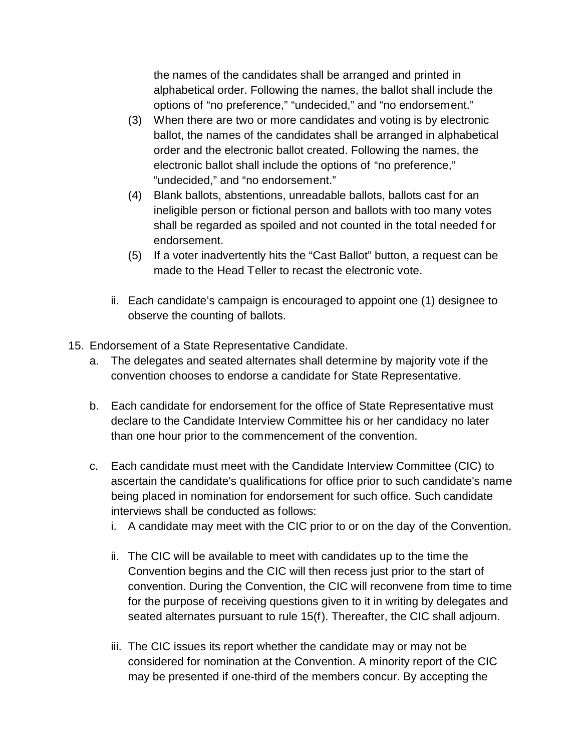the names of the candidates shall be arranged and printed in alphabetical order. Following the names, the ballot shall include the options of "no preference," "undecided," and "no endorsement."

- (3) When there are two or more candidates and voting is by electronic ballot, the names of the candidates shall be arranged in alphabetical order and the electronic ballot created. Following the names, the electronic ballot shall include the options of "no preference," "undecided," and "no endorsement."
- (4) Blank ballots, abstentions, unreadable ballots, ballots cast for an ineligible person or fictional person and ballots with too many votes shall be regarded as spoiled and not counted in the total needed f or endorsement.
- (5) If a voter inadvertently hits the "Cast Ballot" button, a request can be made to the Head Teller to recast the electronic vote.
- ii. Each candidate's campaign is encouraged to appoint one (1) designee to observe the counting of ballots.
- 15. Endorsement of a State Representative Candidate.
	- a. The delegates and seated alternates shall determine by majority vote if the convention chooses to endorse a candidate for State Representative.
	- b. Each candidate for endorsement for the office of State Representative must declare to the Candidate Interview Committee his or her candidacy no later than one hour prior to the commencement of the convention.
	- c. Each candidate must meet with the Candidate Interview Committee (CIC) to ascertain the candidate's qualifications for office prior to such candidate's name being placed in nomination for endorsement for such office. Such candidate interviews shall be conducted as follows:
		- i. A candidate may meet with the CIC prior to or on the day of the Convention.
		- ii. The CIC will be available to meet with candidates up to the time the Convention begins and the CIC will then recess just prior to the start of convention. During the Convention, the CIC will reconvene from time to time for the purpose of receiving questions given to it in writing by delegates and seated alternates pursuant to rule 15(f). Thereafter, the CIC shall adjourn.
		- iii. The CIC issues its report whether the candidate may or may not be considered for nomination at the Convention. A minority report of the CIC may be presented if one-third of the members concur. By accepting the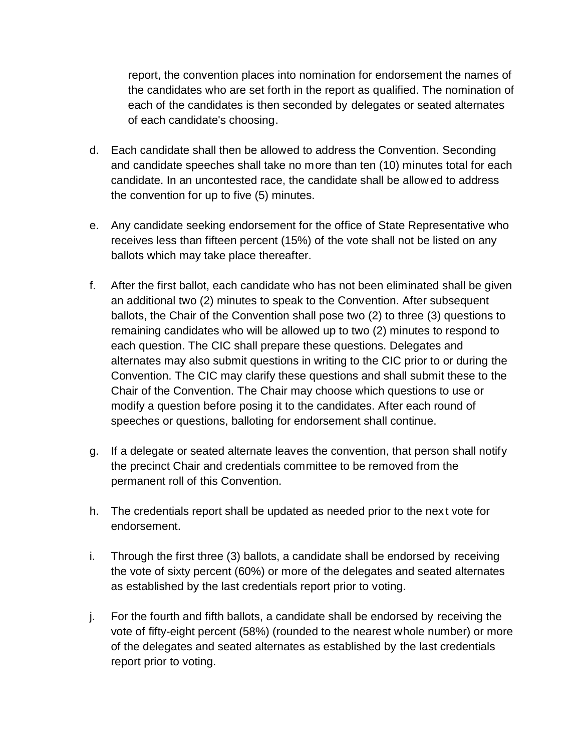report, the convention places into nomination for endorsement the names of the candidates who are set forth in the report as qualified. The nomination of each of the candidates is then seconded by delegates or seated alternates of each candidate's choosing.

- d. Each candidate shall then be allowed to address the Convention. Seconding and candidate speeches shall take no more than ten (10) minutes total for each candidate. In an uncontested race, the candidate shall be allowed to address the convention for up to five (5) minutes.
- e. Any candidate seeking endorsement for the office of State Representative who receives less than fifteen percent (15%) of the vote shall not be listed on any ballots which may take place thereafter.
- f. After the first ballot, each candidate who has not been eliminated shall be given an additional two (2) minutes to speak to the Convention. After subsequent ballots, the Chair of the Convention shall pose two (2) to three (3) questions to remaining candidates who will be allowed up to two (2) minutes to respond to each question. The CIC shall prepare these questions. Delegates and alternates may also submit questions in writing to the CIC prior to or during the Convention. The CIC may clarify these questions and shall submit these to the Chair of the Convention. The Chair may choose which questions to use or modify a question before posing it to the candidates. After each round of speeches or questions, balloting for endorsement shall continue.
- g. If a delegate or seated alternate leaves the convention, that person shall notify the precinct Chair and credentials committee to be removed from the permanent roll of this Convention.
- h. The credentials report shall be updated as needed prior to the nex t vote for endorsement.
- i. Through the first three (3) ballots, a candidate shall be endorsed by receiving the vote of sixty percent (60%) or more of the delegates and seated alternates as established by the last credentials report prior to voting.
- j. For the fourth and fifth ballots, a candidate shall be endorsed by receiving the vote of fifty-eight percent (58%) (rounded to the nearest whole number) or more of the delegates and seated alternates as established by the last credentials report prior to voting.